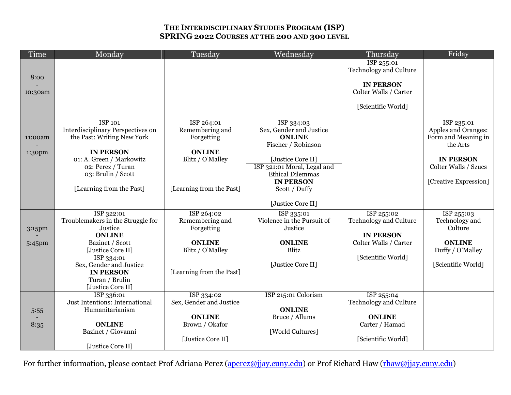## **THE INTERDISCIPLINARY STUDIES PROGRAM (ISP) SPRING 2022 COURSES AT THE 200 AND 300 LEVEL**

| Time    | Monday                                       | Tuesday                  | Wednesday                   | Thursday                                    | Friday                |
|---------|----------------------------------------------|--------------------------|-----------------------------|---------------------------------------------|-----------------------|
|         |                                              |                          |                             | ISP 255:01                                  |                       |
| 8:00    |                                              |                          |                             | <b>Technology and Culture</b>               |                       |
|         |                                              |                          |                             | <b>IN PERSON</b>                            |                       |
| 10:30am |                                              |                          |                             | Colter Walls / Carter                       |                       |
|         |                                              |                          |                             |                                             |                       |
|         |                                              |                          |                             | [Scientific World]                          |                       |
|         | <b>ISP 101</b>                               | ISP 264:01               | ISP 334:03                  |                                             | ISP 235:01            |
|         | Interdisciplinary Perspectives on            | Remembering and          | Sex, Gender and Justice     |                                             | Apples and Oranges:   |
| 11:00am | the Past: Writing New York                   | Forgetting               | <b>ONLINE</b>               |                                             | Form and Meaning in   |
|         | <b>IN PERSON</b>                             | <b>ONLINE</b>            | Fischer / Robinson          |                                             | the Arts              |
| 1:30pm  | 01: A. Green / Markowitz                     | Blitz / O'Malley         | [Justice Core II]           |                                             | <b>IN PERSON</b>      |
|         | 02: Perez / Turan                            |                          | ISP 321:01 Moral, Legal and |                                             | Colter Walls / Szucs  |
|         | 03: Brulin / Scott                           |                          | <b>Ethical Dilemmas</b>     |                                             |                       |
|         |                                              |                          | <b>IN PERSON</b>            |                                             | [Creative Expression] |
|         | [Learning from the Past]                     | [Learning from the Past] | Scott / Duffy               |                                             |                       |
|         |                                              |                          | [Justice Core II]           |                                             |                       |
|         | ISP 322:01                                   | ISP 264:02               | ISP 335:01                  | ISP 255:02                                  | ISP 255:03            |
|         | Troublemakers in the Struggle for            | Remembering and          | Violence in the Pursuit of  | <b>Technology and Culture</b>               | Technology and        |
| 3:15pm  | Justice                                      | Forgetting               | Justice                     |                                             | Culture               |
| 5:45pm  | <b>ONLINE</b><br>Bazinet / Scott             | <b>ONLINE</b>            | <b>ONLINE</b>               | <b>IN PERSON</b><br>Colter Walls / Carter   | <b>ONLINE</b>         |
|         | [Justice Core II]                            | Blitz / O'Malley         | Blitz                       |                                             | Duffy / O'Malley      |
|         | ISP 334:01                                   |                          |                             | [Scientific World]                          |                       |
|         | Sex, Gender and Justice                      |                          | [Justice Core II]           |                                             | [Scientific World]    |
|         | <b>IN PERSON</b>                             | [Learning from the Past] |                             |                                             |                       |
|         | Turan / Brulin                               |                          |                             |                                             |                       |
|         | [Justice Core II]                            | ISP 334:02               | ISP 215:01 Colorism         |                                             |                       |
|         | ISP 336:01<br>Just Intentions: International | Sex, Gender and Justice  |                             | ISP 255:04<br><b>Technology and Culture</b> |                       |
| 5:55    | Humanitarianism                              |                          | <b>ONLINE</b>               |                                             |                       |
|         |                                              | <b>ONLINE</b>            | Bruce / Allums              | <b>ONLINE</b>                               |                       |
| 8:35    | <b>ONLINE</b>                                | Brown / Okafor           |                             | Carter / Hamad                              |                       |
|         | Bazinet / Giovanni                           |                          | [World Cultures]            |                                             |                       |
|         | [Justice Core II]                            | [Justice Core II]        |                             | [Scientific World]                          |                       |
|         |                                              |                          |                             |                                             |                       |

For further information, please contact Prof Adriana Perez [\(aperez@jjay.cuny.edu\)](mailto:aperez@jjay.cuny.edu) or Prof Richard Haw [\(rhaw@jjay.cuny.edu\)](mailto:rhaw@jjay.cuny.edu)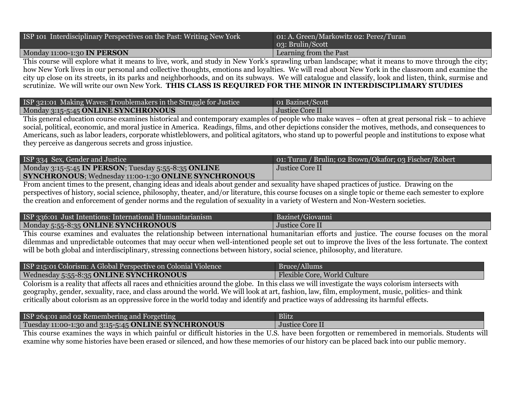| ISP 101 Interdisciplinary Perspectives on the Past: Writing New York | 01: A. Green/Markowitz 02: Perez/Turan<br>03: Brulin/Scott |
|----------------------------------------------------------------------|------------------------------------------------------------|
| Monday 11:00-1:30 IN PERSON                                          | Learning from the Past                                     |

This course will explore what it means to live, work, and study in New York's sprawling urban landscape; what it means to move through the city; how New York lives in our personal and collective thoughts, emotions and loyalties. We will read about New York in the classroom and examine the city up close on its streets, in its parks and neighborhoods, and on its subways. We will catalogue and classify, look and listen, think, surmise and scrutinize. We will write our own New York. **THIS CLASS IS REQUIRED FOR THE MINOR IN INTERDISCIPLIMARY STUDIES**

| ISP 321:01 Making Waves: Troublemakers in the Struggle for Justice | 01 Bazinet/Scott |
|--------------------------------------------------------------------|------------------|
| Monday 3:15-5:45 ONLINE SYNCHRONOUS                                | Justice Core II  |
|                                                                    |                  |

This general education course examines historical and contemporary examples of people who make waves – often at great personal risk – to achieve social, political, economic, and moral justice in America. Readings, films, and other depictions consider the motives, methods, and consequences to Americans, such as labor leaders, corporate whistleblowers, and political agitators, who stand up to powerful people and institutions to expose what they perceive as dangerous secrets and gross injustice.

| ISP 334 Sex, Gender and Justice                                    | [o1: Turan / Brulin; 02 Brown/Okafor; 03 Fischer/Robert] |
|--------------------------------------------------------------------|----------------------------------------------------------|
| Monday 3:15-5:45 IN PERSON; Tuesday 5:55-8:35 ONLINE               | Justice Core II                                          |
| <b>SYNCHRONOUS;</b> Wednesday 11:00-1:30 <b>ONLINE SYNCHRONOUS</b> |                                                          |

From ancient times to the present, changing ideas and ideals about gender and sexuality have shaped practices of justice. Drawing on the perspectives of history, social science, philosophy, theater, and/or literature, this course focuses on a single topic or theme each semester to explore the creation and enforcement of gender norms and the regulation of sexuality in a variety of Western and Non-Western societies.

| ISP 336:01 Just Intentions: International Humanitarianism | Bazinet/Giovanni |
|-----------------------------------------------------------|------------------|
| Monday 5:55-8:35 ONLINE SYNCHRONOUS                       | Justice Core II  |
| $-1$                                                      |                  |

This course examines and evaluates the relationship between international humanitarian efforts and justice. The course focuses on the moral dilemmas and unpredictable outcomes that may occur when well-intentioned people set out to improve the lives of the less fortunate. The context will be both global and interdisciplinary, stressing connections between history, social science, philosophy, and literature.

| ISP 215:01 Colorism: A Global Perspective on Colonial Violence | Bruce/Allums                 |
|----------------------------------------------------------------|------------------------------|
| Wednesday 5:55-8:35 ONLINE SYNCHRONOUS                         | Flexible Core, World Culture |

Colorism is a reality that affects all races and ethnicities around the globe. In this class we will investigate the ways colorism intersects with geography, gender, sexuality, race, and class around the world. We will look at art, fashion, law, film, employment, music, politics- and think critically about colorism as an oppressive force in the world today and identify and practice ways of addressing its harmful effects.

| ISP 264:01 and 02 Remembering and Forgetting        | <b>Blitz</b>           |
|-----------------------------------------------------|------------------------|
| Tuesday 11:00-1:30 and 3:15-5:45 ONLINE SYNCHRONOUS | <b>Justice Core II</b> |

This course examines the ways in which painful or difficult histories in the U.S. have been forgotten or remembered in memorials. Students will examine why some histories have been erased or silenced, and how these memories of our history can be placed back into our public memory.